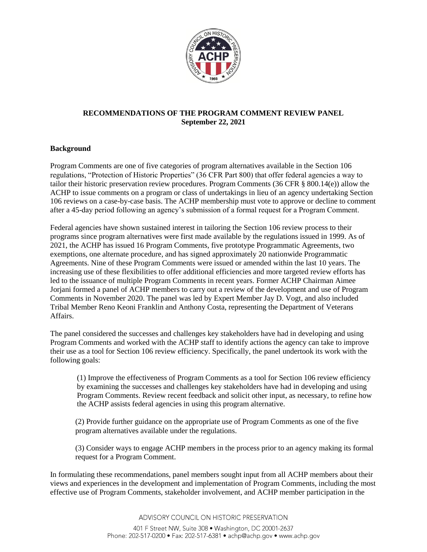

## **RECOMMENDATIONS OF THE PROGRAM COMMENT REVIEW PANEL September 22, 2021**

### **Background**

Program Comments are one of five categories of program alternatives available in the Section 106 regulations, "Protection of Historic Properties" (36 CFR Part 800) that offer federal agencies a way to tailor their historic preservation review procedures. Program Comments (36 CFR § 800.14(e)) allow the ACHP to issue comments on a program or class of undertakings in lieu of an agency undertaking Section 106 reviews on a case-by-case basis. The ACHP membership must vote to approve or decline to comment after a 45-day period following an agency's submission of a formal request for a Program Comment.

Federal agencies have shown sustained interest in tailoring the Section 106 review process to their programs since program alternatives were first made available by the regulations issued in 1999. As of 2021, the ACHP has issued 16 Program Comments, five prototype Programmatic Agreements, two exemptions, one alternate procedure, and has signed approximately 20 nationwide Programmatic Agreements. Nine of these Program Comments were issued or amended within the last 10 years. The increasing use of these flexibilities to offer additional efficiencies and more targeted review efforts has led to the issuance of multiple Program Comments in recent years. Former ACHP Chairman Aimee Jorjani formed a panel of ACHP members to carry out a review of the development and use of Program Comments in November 2020. The panel was led by Expert Member Jay D. Vogt, and also included Tribal Member Reno Keoni Franklin and Anthony Costa, representing the Department of Veterans Affairs.

The panel considered the successes and challenges key stakeholders have had in developing and using Program Comments and worked with the ACHP staff to identify actions the agency can take to improve their use as a tool for Section 106 review efficiency. Specifically, the panel undertook its work with the following goals:

(1) Improve the effectiveness of Program Comments as a tool for Section 106 review efficiency by examining the successes and challenges key stakeholders have had in developing and using Program Comments. Review recent feedback and solicit other input, as necessary, to refine how the ACHP assists federal agencies in using this program alternative.

(2) Provide further guidance on the appropriate use of Program Comments as one of the five program alternatives available under the regulations.

(3) Consider ways to engage ACHP members in the process prior to an agency making its formal request for a Program Comment.

In formulating these recommendations, panel members sought input from all ACHP members about their views and experiences in the development and implementation of Program Comments, including the most effective use of Program Comments, stakeholder involvement, and ACHP member participation in the

ADVISORY COUNCIL ON HISTORIC PRESERVATION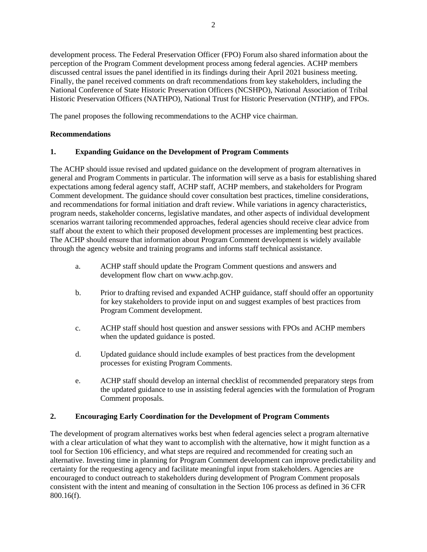development process. The Federal Preservation Officer (FPO) Forum also shared information about the perception of the Program Comment development process among federal agencies. ACHP members discussed central issues the panel identified in its findings during their April 2021 business meeting. Finally, the panel received comments on draft recommendations from key stakeholders, including the National Conference of State Historic Preservation Officers (NCSHPO), National Association of Tribal Historic Preservation Officers (NATHPO), National Trust for Historic Preservation (NTHP), and FPOs.

The panel proposes the following recommendations to the ACHP vice chairman.

# **Recommendations**

## **1. Expanding Guidance on the Development of Program Comments**

The ACHP should issue revised and updated guidance on the development of program alternatives in general and Program Comments in particular. The information will serve as a basis for establishing shared expectations among federal agency staff, ACHP staff, ACHP members, and stakeholders for Program Comment development. The guidance should cover consultation best practices, timeline considerations, and recommendations for formal initiation and draft review. While variations in agency characteristics, program needs, stakeholder concerns, legislative mandates, and other aspects of individual development scenarios warrant tailoring recommended approaches, federal agencies should receive clear advice from staff about the extent to which their proposed development processes are implementing best practices. The ACHP should ensure that information about Program Comment development is widely available through the agency website and training programs and informs staff technical assistance.

- a. ACHP staff should update the Program Comment questions and answers and development flow chart on www.achp.gov.
- b. Prior to drafting revised and expanded ACHP guidance, staff should offer an opportunity for key stakeholders to provide input on and suggest examples of best practices from Program Comment development.
- c. ACHP staff should host question and answer sessions with FPOs and ACHP members when the updated guidance is posted.
- d. Updated guidance should include examples of best practices from the development processes for existing Program Comments.
- e. ACHP staff should develop an internal checklist of recommended preparatory steps from the updated guidance to use in assisting federal agencies with the formulation of Program Comment proposals.

### **2. Encouraging Early Coordination for the Development of Program Comments**

The development of program alternatives works best when federal agencies select a program alternative with a clear articulation of what they want to accomplish with the alternative, how it might function as a tool for Section 106 efficiency, and what steps are required and recommended for creating such an alternative. Investing time in planning for Program Comment development can improve predictability and certainty for the requesting agency and facilitate meaningful input from stakeholders. Agencies are encouraged to conduct outreach to stakeholders during development of Program Comment proposals consistent with the intent and meaning of consultation in the Section 106 process as defined in 36 CFR 800.16(f).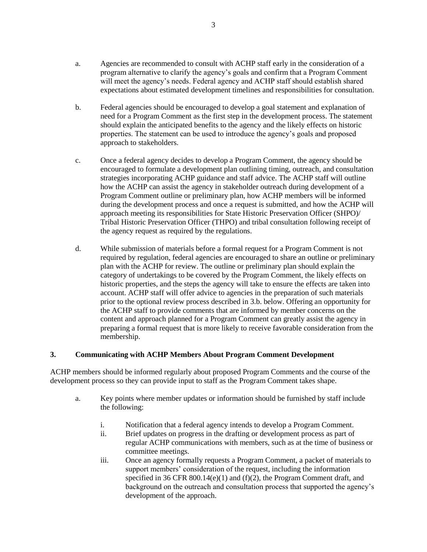- a. Agencies are recommended to consult with ACHP staff early in the consideration of a program alternative to clarify the agency's goals and confirm that a Program Comment will meet the agency's needs. Federal agency and ACHP staff should establish shared expectations about estimated development timelines and responsibilities for consultation.
- b. Federal agencies should be encouraged to develop a goal statement and explanation of need for a Program Comment as the first step in the development process. The statement should explain the anticipated benefits to the agency and the likely effects on historic properties. The statement can be used to introduce the agency's goals and proposed approach to stakeholders.
- c. Once a federal agency decides to develop a Program Comment, the agency should be encouraged to formulate a development plan outlining timing, outreach, and consultation strategies incorporating ACHP guidance and staff advice. The ACHP staff will outline how the ACHP can assist the agency in stakeholder outreach during development of a Program Comment outline or preliminary plan, how ACHP members will be informed during the development process and once a request is submitted, and how the ACHP will approach meeting its responsibilities for State Historic Preservation Officer (SHPO)/ Tribal Historic Preservation Officer (THPO) and tribal consultation following receipt of the agency request as required by the regulations.
- d. While submission of materials before a formal request for a Program Comment is not required by regulation, federal agencies are encouraged to share an outline or preliminary plan with the ACHP for review. The outline or preliminary plan should explain the category of undertakings to be covered by the Program Comment, the likely effects on historic properties, and the steps the agency will take to ensure the effects are taken into account. ACHP staff will offer advice to agencies in the preparation of such materials prior to the optional review process described in 3.b. below. Offering an opportunity for the ACHP staff to provide comments that are informed by member concerns on the content and approach planned for a Program Comment can greatly assist the agency in preparing a formal request that is more likely to receive favorable consideration from the membership.

### **3. Communicating with ACHP Members About Program Comment Development**

ACHP members should be informed regularly about proposed Program Comments and the course of the development process so they can provide input to staff as the Program Comment takes shape.

- a. Key points where member updates or information should be furnished by staff include the following:
	- i. Notification that a federal agency intends to develop a Program Comment.
	- ii. Brief updates on progress in the drafting or development process as part of regular ACHP communications with members, such as at the time of business or committee meetings.
	- iii. Once an agency formally requests a Program Comment, a packet of materials to support members' consideration of the request, including the information specified in 36 CFR 800.14(e)(1) and (f)(2), the Program Comment draft, and background on the outreach and consultation process that supported the agency's development of the approach.